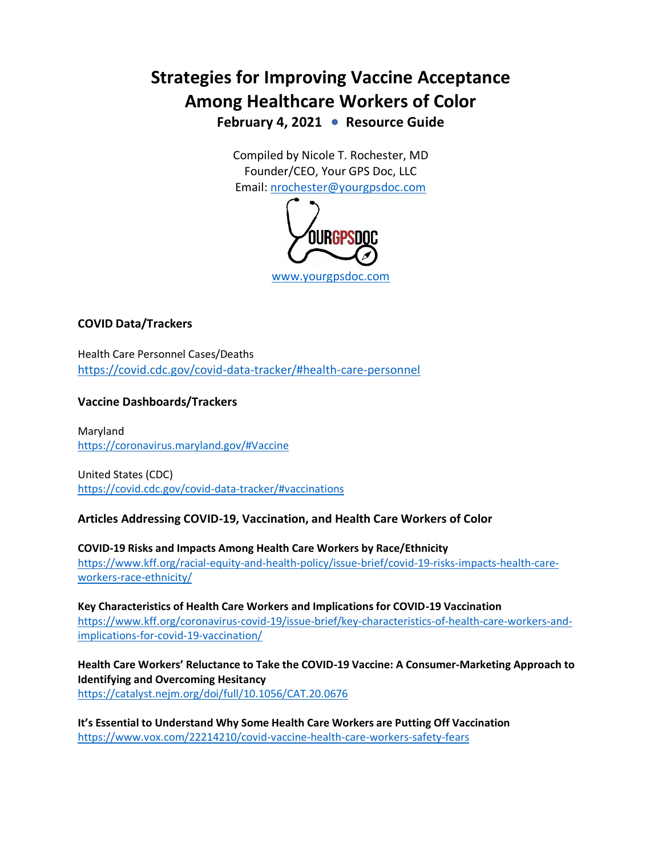# **Strategies for Improving Vaccine Acceptance Among Healthcare Workers of Color** February 4, 2021 • Resource Guide

Compiled by Nicole T. Rochester, MD Founder/CEO, Your GPS Doc, LLC Email: [nrochester@yourgpsdoc.com](mailto:nrochester@yourgpsdoc.com)



# **COVID Data/Trackers**

Health Care Personnel Cases/Deaths <https://covid.cdc.gov/covid-data-tracker/#health-care-personnel>

# **Vaccine Dashboards/Trackers**

Maryland <https://coronavirus.maryland.gov/#Vaccine>

United States (CDC) <https://covid.cdc.gov/covid-data-tracker/#vaccinations>

### **Articles Addressing COVID-19, Vaccination, and Health Care Workers of Color**

**COVID-19 Risks and Impacts Among Health Care Workers by Race/Ethnicity** [https://www.kff.org/racial-equity-and-health-policy/issue-brief/covid-19-risks-impacts-health-care](https://www.kff.org/racial-equity-and-health-policy/issue-brief/covid-19-risks-impacts-health-care-workers-race-ethnicity/)[workers-race-ethnicity/](https://www.kff.org/racial-equity-and-health-policy/issue-brief/covid-19-risks-impacts-health-care-workers-race-ethnicity/)

**Key Characteristics of Health Care Workers and Implications for COVID-19 Vaccination** [https://www.kff.org/coronavirus-covid-19/issue-brief/key-characteristics-of-health-care-workers-and](https://www.kff.org/coronavirus-covid-19/issue-brief/key-characteristics-of-health-care-workers-and-implications-for-covid-19-vaccination/)[implications-for-covid-19-vaccination/](https://www.kff.org/coronavirus-covid-19/issue-brief/key-characteristics-of-health-care-workers-and-implications-for-covid-19-vaccination/)

**Health Care Workers' Reluctance to Take the COVID-19 Vaccine: A Consumer-Marketing Approach to Identifying and Overcoming Hesitancy** <https://catalyst.nejm.org/doi/full/10.1056/CAT.20.0676>

**It's Essential to Understand Why Some Health Care Workers are Putting Off Vaccination** <https://www.vox.com/22214210/covid-vaccine-health-care-workers-safety-fears>